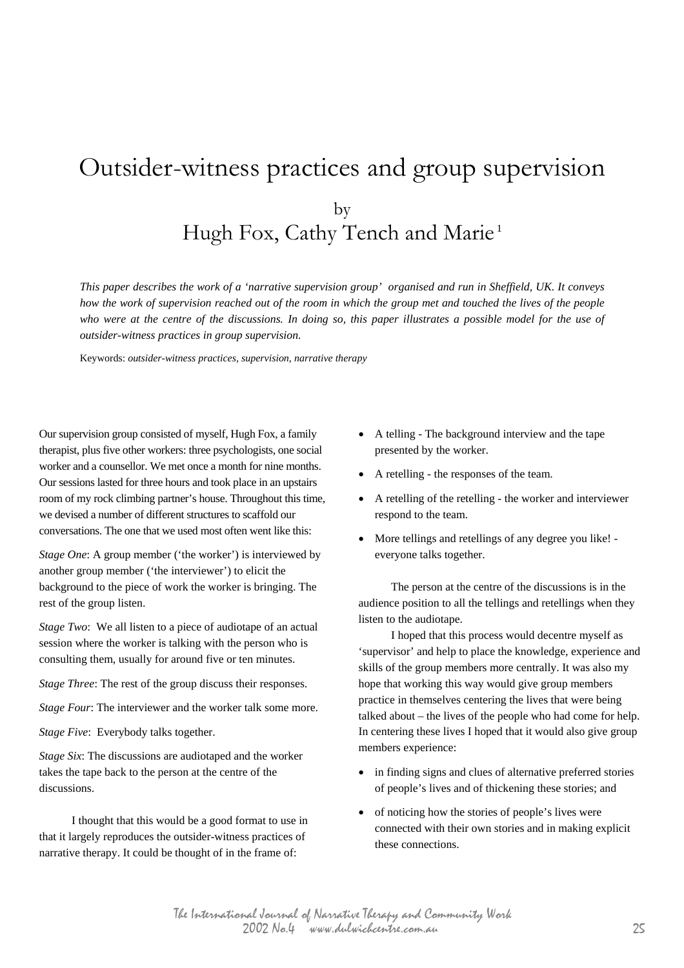# Outsider-witness practices and group supervision by Hugh Fox, Cathy Tench and Marie<sup>1</sup>

*This paper describes the work of a 'narrative supervision group' organised and run in Sheffield, UK. It conveys how the work of supervision reached out of the room in which the group met and touched the lives of the people* who were at the centre of the discussions. In doing so, this paper illustrates a possible model for the use of *outsider-witness practices in group supervision.* 

Keywords: *outsider-witness practices, supervision, narrative therapy*

Our supervision group consisted of myself, Hugh Fox, a family therapist, plus five other workers: three psychologists, one social worker and a counsellor. We met once a month for nine months. Our sessions lasted for three hours and took place in an upstairs room of my rock climbing partner's house. Throughout this time, we devised a number of different structures to scaffold our conversations. The one that we used most often went like this:

*Stage One:* A group member ('the worker') is interviewed by another group member ('the interviewer') to elicit the background to the piece of work the worker is bringing. The rest of the group listen.

*Stage Two*: We all listen to a piece of audiotape of an actual session where the worker is talking with the person who is consulting them, usually for around five or ten minutes.

*Stage Three*: The rest of the group discuss their responses.

*Stage Four*: The interviewer and the worker talk some more.

*Stage Five*: Everybody talks together.

*Stage Six*: The discussions are audiotaped and the worker takes the tape back to the person at the centre of the discussions.

 I thought that this would be a good format to use in that it largely reproduces the outsider-witness practices of narrative therapy. It could be thought of in the frame of:

- A telling The background interview and the tape presented by the worker.
- A retelling the responses of the team.
- A retelling of the retelling the worker and interviewer respond to the team.
- More tellings and retellings of any degree you like! everyone talks together.

 The person at the centre of the discussions is in the audience position to all the tellings and retellings when they listen to the audiotape.

 I hoped that this process would decentre myself as 'supervisor' and help to place the knowledge, experience and skills of the group members more centrally. It was also my hope that working this way would give group members practice in themselves centering the lives that were being talked about – the lives of the people who had come for help. In centering these lives I hoped that it would also give group members experience:

- in finding signs and clues of alternative preferred stories of people's lives and of thickening these stories; and
- of noticing how the stories of people's lives were connected with their own stories and in making explicit these connections.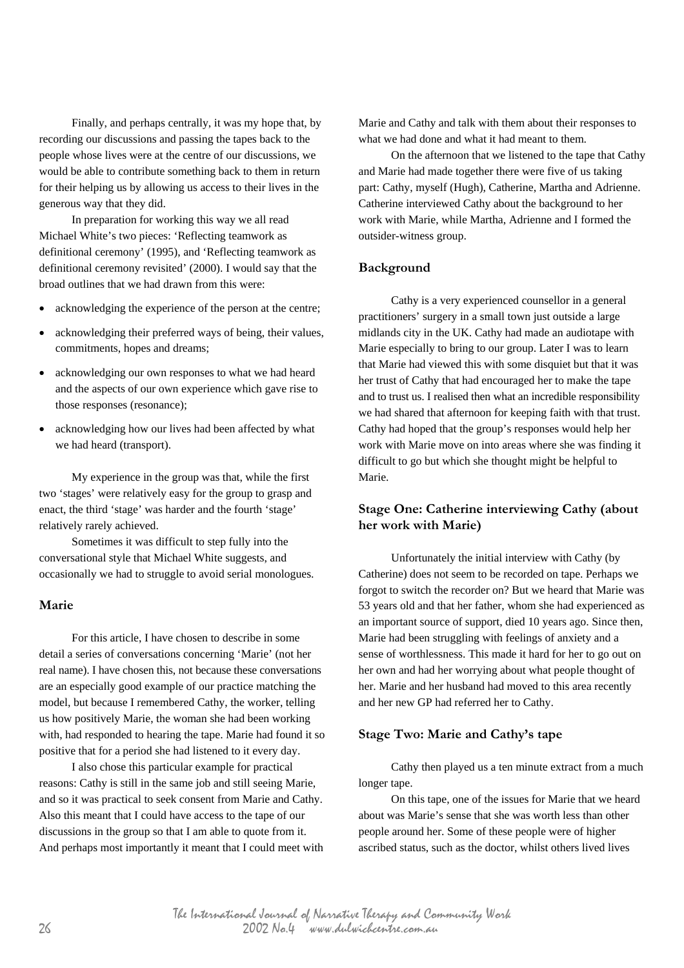Finally, and perhaps centrally, it was my hope that, by recording our discussions and passing the tapes back to the people whose lives were at the centre of our discussions, we would be able to contribute something back to them in return for their helping us by allowing us access to their lives in the generous way that they did.

 In preparation for working this way we all read Michael White's two pieces: 'Reflecting teamwork as definitional ceremony' (1995), and 'Reflecting teamwork as definitional ceremony revisited' (2000). I would say that the broad outlines that we had drawn from this were:

- acknowledging the experience of the person at the centre;
- acknowledging their preferred ways of being, their values, commitments, hopes and dreams;
- acknowledging our own responses to what we had heard and the aspects of our own experience which gave rise to those responses (resonance);
- acknowledging how our lives had been affected by what we had heard (transport).

 My experience in the group was that, while the first two 'stages' were relatively easy for the group to grasp and enact, the third 'stage' was harder and the fourth 'stage' relatively rarely achieved.

 Sometimes it was difficult to step fully into the conversational style that Michael White suggests, and occasionally we had to struggle to avoid serial monologues.

# **Marie**

 For this article, I have chosen to describe in some detail a series of conversations concerning 'Marie' (not her real name). I have chosen this, not because these conversations are an especially good example of our practice matching the model, but because I remembered Cathy, the worker, telling us how positively Marie, the woman she had been working with, had responded to hearing the tape. Marie had found it so positive that for a period she had listened to it every day.

 I also chose this particular example for practical reasons: Cathy is still in the same job and still seeing Marie, and so it was practical to seek consent from Marie and Cathy. Also this meant that I could have access to the tape of our discussions in the group so that I am able to quote from it. And perhaps most importantly it meant that I could meet with Marie and Cathy and talk with them about their responses to what we had done and what it had meant to them.

 On the afternoon that we listened to the tape that Cathy and Marie had made together there were five of us taking part: Cathy, myself (Hugh), Catherine, Martha and Adrienne. Catherine interviewed Cathy about the background to her work with Marie, while Martha, Adrienne and I formed the outsider-witness group.

#### **Background**

 Cathy is a very experienced counsellor in a general practitioners' surgery in a small town just outside a large midlands city in the UK. Cathy had made an audiotape with Marie especially to bring to our group. Later I was to learn that Marie had viewed this with some disquiet but that it was her trust of Cathy that had encouraged her to make the tape and to trust us. I realised then what an incredible responsibility we had shared that afternoon for keeping faith with that trust. Cathy had hoped that the group's responses would help her work with Marie move on into areas where she was finding it difficult to go but which she thought might be helpful to Marie.

# **Stage One: Catherine interviewing Cathy (about her work with Marie)**

 Unfortunately the initial interview with Cathy (by Catherine) does not seem to be recorded on tape. Perhaps we forgot to switch the recorder on? But we heard that Marie was 53 years old and that her father, whom she had experienced as an important source of support, died 10 years ago. Since then, Marie had been struggling with feelings of anxiety and a sense of worthlessness. This made it hard for her to go out on her own and had her worrying about what people thought of her. Marie and her husband had moved to this area recently and her new GP had referred her to Cathy.

# **Stage Two: Marie and Cathy's tape**

 Cathy then played us a ten minute extract from a much longer tape.

 On this tape, one of the issues for Marie that we heard about was Marie's sense that she was worth less than other people around her. Some of these people were of higher ascribed status, such as the doctor, whilst others lived lives

The International Journal of Narrative Therapy and Community Work 26 2002 No.4 www.dulwichcentre.com.au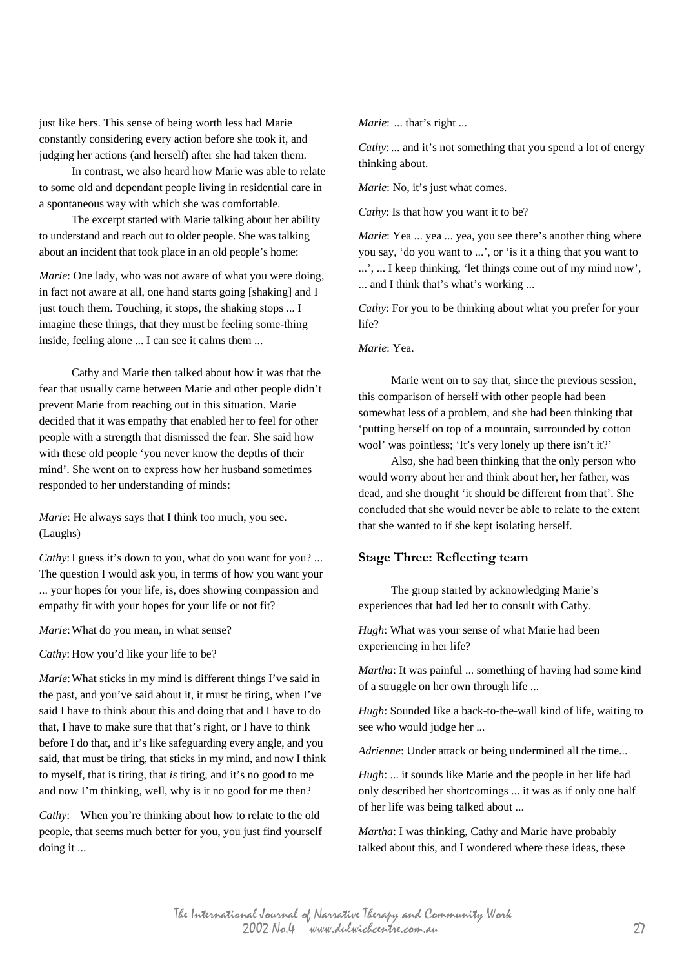just like hers. This sense of being worth less had Marie constantly considering every action before she took it, and judging her actions (and herself) after she had taken them.

 In contrast, we also heard how Marie was able to relate to some old and dependant people living in residential care in a spontaneous way with which she was comfortable.

 The excerpt started with Marie talking about her ability to understand and reach out to older people. She was talking about an incident that took place in an old people's home:

*Marie*: One lady, who was not aware of what you were doing, in fact not aware at all, one hand starts going [shaking] and I just touch them. Touching, it stops, the shaking stops ... I imagine these things, that they must be feeling some-thing inside, feeling alone ... I can see it calms them ...

 Cathy and Marie then talked about how it was that the fear that usually came between Marie and other people didn't prevent Marie from reaching out in this situation. Marie decided that it was empathy that enabled her to feel for other people with a strength that dismissed the fear. She said how with these old people 'you never know the depths of their mind'. She went on to express how her husband sometimes responded to her understanding of minds:

*Marie*: He always says that I think too much, you see. (Laughs)

*Cathy*: I guess it's down to you, what do you want for you? ... The question I would ask you, in terms of how you want your ... your hopes for your life, is, does showing compassion and empathy fit with your hopes for your life or not fit?

*Marie*: What do you mean, in what sense?

*Cathy*: How you'd like your life to be?

*Marie*: What sticks in my mind is different things I've said in the past, and you've said about it, it must be tiring, when I've said I have to think about this and doing that and I have to do that, I have to make sure that that's right, or I have to think before I do that, and it's like safeguarding every angle, and you said, that must be tiring, that sticks in my mind, and now I think to myself, that is tiring, that *is* tiring, and it's no good to me and now I'm thinking, well, why is it no good for me then?

*Cathy*: When you're thinking about how to relate to the old people, that seems much better for you, you just find yourself doing it ...

*Marie*: ... that's right ...

*Cathy*: ... and it's not something that you spend a lot of energy thinking about.

*Marie*: No, it's just what comes.

*Cathy*: Is that how you want it to be?

*Marie*: Yea ... yea ... yea, you see there's another thing where you say, 'do you want to ...', or 'is it a thing that you want to ...', ... I keep thinking, 'let things come out of my mind now', ... and I think that's what's working ...

*Cathy*: For you to be thinking about what you prefer for your life?

*Marie*: Yea.

 Marie went on to say that, since the previous session, this comparison of herself with other people had been somewhat less of a problem, and she had been thinking that 'putting herself on top of a mountain, surrounded by cotton wool' was pointless; 'It's very lonely up there isn't it?'

 Also, she had been thinking that the only person who would worry about her and think about her, her father, was dead, and she thought 'it should be different from that'. She concluded that she would never be able to relate to the extent that she wanted to if she kept isolating herself.

# **Stage Three: Reflecting team**

 The group started by acknowledging Marie's experiences that had led her to consult with Cathy.

*Hugh*: What was your sense of what Marie had been experiencing in her life?

*Martha*: It was painful ... something of having had some kind of a struggle on her own through life ...

*Hugh*: Sounded like a back-to-the-wall kind of life, waiting to see who would judge her ...

*Adrienne*: Under attack or being undermined all the time...

*Hugh*: ... it sounds like Marie and the people in her life had only described her shortcomings ... it was as if only one half of her life was being talked about ...

*Martha*: I was thinking, Cathy and Marie have probably talked about this, and I wondered where these ideas, these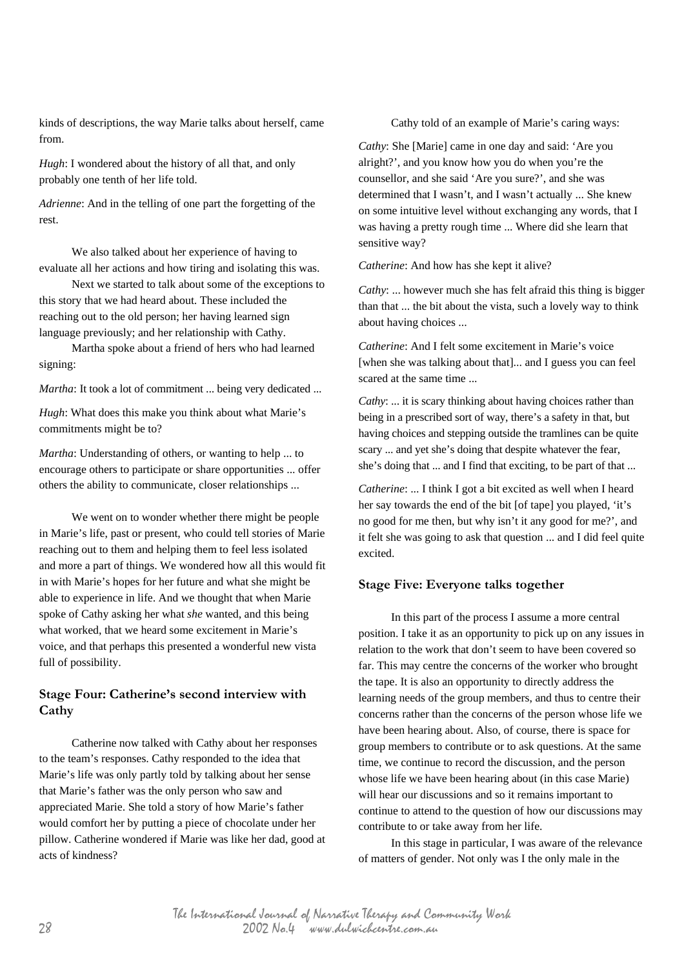kinds of descriptions, the way Marie talks about herself, came from.

*Hugh*: I wondered about the history of all that, and only probably one tenth of her life told.

*Adrienne*: And in the telling of one part the forgetting of the rest.

 We also talked about her experience of having to evaluate all her actions and how tiring and isolating this was.

 Next we started to talk about some of the exceptions to this story that we had heard about. These included the reaching out to the old person; her having learned sign language previously; and her relationship with Cathy.

 Martha spoke about a friend of hers who had learned signing:

*Martha*: It took a lot of commitment ... being very dedicated ...

*Hugh*: What does this make you think about what Marie's commitments might be to?

*Martha*: Understanding of others, or wanting to help ... to encourage others to participate or share opportunities ... offer others the ability to communicate, closer relationships ...

 We went on to wonder whether there might be people in Marie's life, past or present, who could tell stories of Marie reaching out to them and helping them to feel less isolated and more a part of things. We wondered how all this would fit in with Marie's hopes for her future and what she might be able to experience in life. And we thought that when Marie spoke of Cathy asking her what *she* wanted, and this being what worked, that we heard some excitement in Marie's voice, and that perhaps this presented a wonderful new vista full of possibility.

# **Stage Four: Catherine's second interview with Cathy**

 Catherine now talked with Cathy about her responses to the team's responses. Cathy responded to the idea that Marie's life was only partly told by talking about her sense that Marie's father was the only person who saw and appreciated Marie. She told a story of how Marie's father would comfort her by putting a piece of chocolate under her pillow. Catherine wondered if Marie was like her dad, good at acts of kindness?

Cathy told of an example of Marie's caring ways:

*Cathy*: She [Marie] came in one day and said: 'Are you alright?', and you know how you do when you're the counsellor, and she said 'Are you sure?', and she was determined that I wasn't, and I wasn't actually ... She knew on some intuitive level without exchanging any words, that I was having a pretty rough time ... Where did she learn that sensitive way?

*Catherine*: And how has she kept it alive?

*Cathy*: ... however much she has felt afraid this thing is bigger than that ... the bit about the vista, such a lovely way to think about having choices ...

*Catherine*: And I felt some excitement in Marie's voice [when she was talking about that]... and I guess you can feel scared at the same time ...

*Cathy*: ... it is scary thinking about having choices rather than being in a prescribed sort of way, there's a safety in that, but having choices and stepping outside the tramlines can be quite scary ... and yet she's doing that despite whatever the fear, she's doing that ... and I find that exciting, to be part of that ...

*Catherine*: ... I think I got a bit excited as well when I heard her say towards the end of the bit [of tape] you played, 'it's no good for me then, but why isn't it any good for me?', and it felt she was going to ask that question ... and I did feel quite excited.

# **Stage Five: Everyone talks together**

 In this part of the process I assume a more central position. I take it as an opportunity to pick up on any issues in relation to the work that don't seem to have been covered so far. This may centre the concerns of the worker who brought the tape. It is also an opportunity to directly address the learning needs of the group members, and thus to centre their concerns rather than the concerns of the person whose life we have been hearing about. Also, of course, there is space for group members to contribute or to ask questions. At the same time, we continue to record the discussion, and the person whose life we have been hearing about (in this case Marie) will hear our discussions and so it remains important to continue to attend to the question of how our discussions may contribute to or take away from her life.

 In this stage in particular, I was aware of the relevance of matters of gender. Not only was I the only male in the

The International Journal of Narrative Therapy and Community Work 28 2002 No.4 www.dulwichcentre.com.au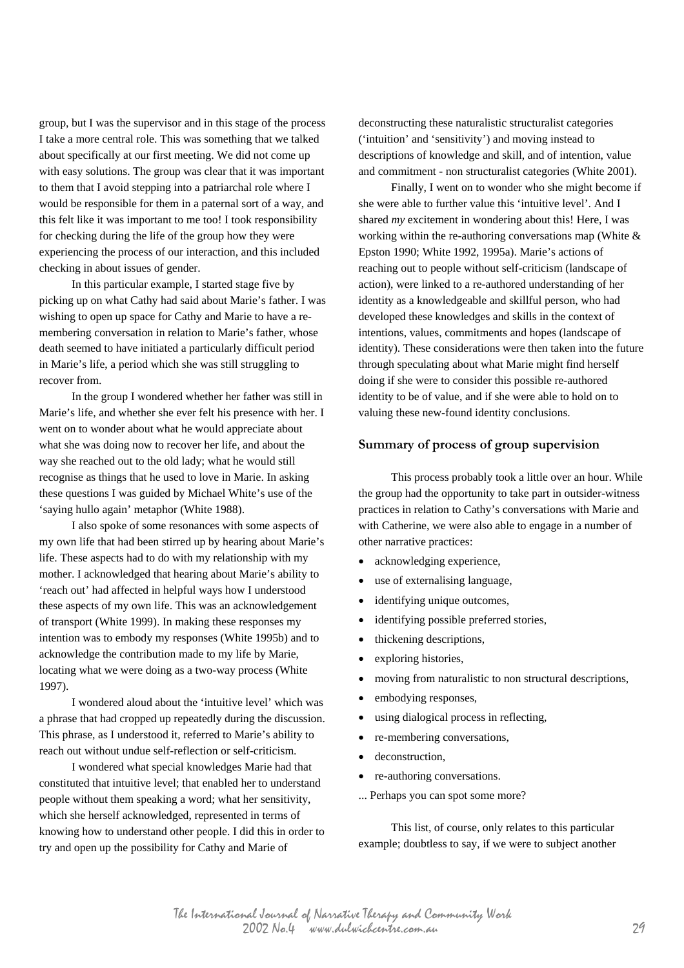group, but I was the supervisor and in this stage of the process I take a more central role. This was something that we talked about specifically at our first meeting. We did not come up with easy solutions. The group was clear that it was important to them that I avoid stepping into a patriarchal role where I would be responsible for them in a paternal sort of a way, and this felt like it was important to me too! I took responsibility for checking during the life of the group how they were experiencing the process of our interaction, and this included checking in about issues of gender.

 In this particular example, I started stage five by picking up on what Cathy had said about Marie's father. I was wishing to open up space for Cathy and Marie to have a remembering conversation in relation to Marie's father, whose death seemed to have initiated a particularly difficult period in Marie's life, a period which she was still struggling to recover from.

 In the group I wondered whether her father was still in Marie's life, and whether she ever felt his presence with her. I went on to wonder about what he would appreciate about what she was doing now to recover her life, and about the way she reached out to the old lady; what he would still recognise as things that he used to love in Marie. In asking these questions I was guided by Michael White's use of the 'saying hullo again' metaphor (White 1988).

 I also spoke of some resonances with some aspects of my own life that had been stirred up by hearing about Marie's life. These aspects had to do with my relationship with my mother. I acknowledged that hearing about Marie's ability to 'reach out' had affected in helpful ways how I understood these aspects of my own life. This was an acknowledgement of transport (White 1999). In making these responses my intention was to embody my responses (White 1995b) and to acknowledge the contribution made to my life by Marie, locating what we were doing as a two-way process (White 1997).

 I wondered aloud about the 'intuitive level' which was a phrase that had cropped up repeatedly during the discussion. This phrase, as I understood it, referred to Marie's ability to reach out without undue self-reflection or self-criticism.

 I wondered what special knowledges Marie had that constituted that intuitive level; that enabled her to understand people without them speaking a word; what her sensitivity, which she herself acknowledged, represented in terms of knowing how to understand other people. I did this in order to try and open up the possibility for Cathy and Marie of

deconstructing these naturalistic structuralist categories ('intuition' and 'sensitivity') and moving instead to descriptions of knowledge and skill, and of intention, value and commitment - non structuralist categories (White 2001).

 Finally, I went on to wonder who she might become if she were able to further value this 'intuitive level'. And I shared *my* excitement in wondering about this! Here, I was working within the re-authoring conversations map (White & Epston 1990; White 1992, 1995a). Marie's actions of reaching out to people without self-criticism (landscape of action), were linked to a re-authored understanding of her identity as a knowledgeable and skillful person, who had developed these knowledges and skills in the context of intentions, values, commitments and hopes (landscape of identity). These considerations were then taken into the future through speculating about what Marie might find herself doing if she were to consider this possible re-authored identity to be of value, and if she were able to hold on to valuing these new-found identity conclusions.

#### **Summary of process of group supervision**

 This process probably took a little over an hour. While the group had the opportunity to take part in outsider-witness practices in relation to Cathy's conversations with Marie and with Catherine, we were also able to engage in a number of other narrative practices:

- acknowledging experience,
- use of externalising language,
- identifying unique outcomes,
- identifying possible preferred stories,
- thickening descriptions,
- exploring histories,
- moving from naturalistic to non structural descriptions,
- embodying responses,
- using dialogical process in reflecting,
- re-membering conversations,
- deconstruction.
- re-authoring conversations.
- ... Perhaps you can spot some more?

 This list, of course, only relates to this particular example; doubtless to say, if we were to subject another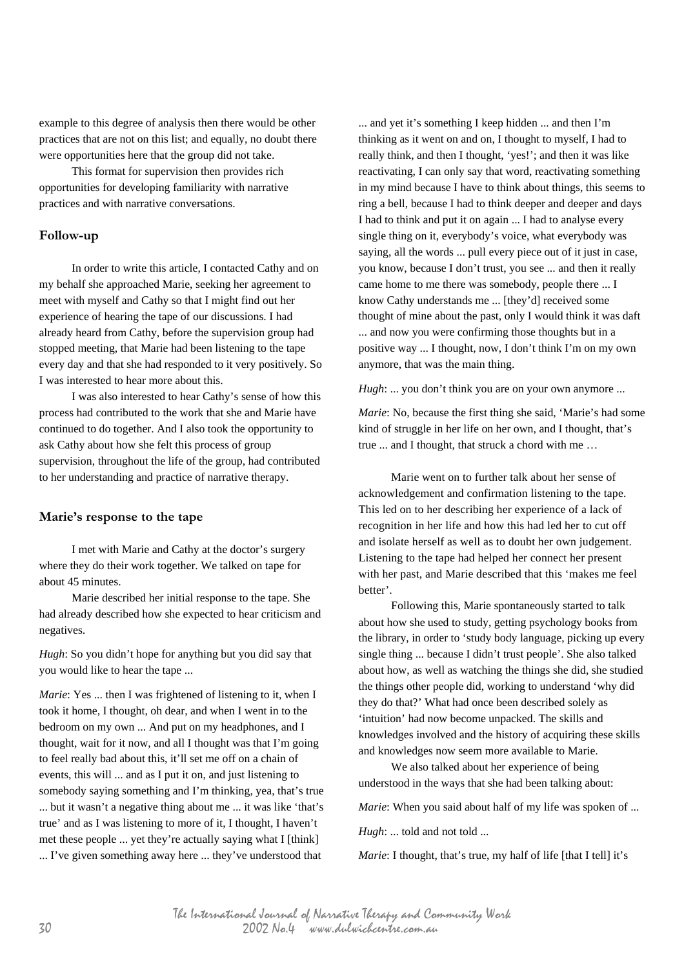example to this degree of analysis then there would be other practices that are not on this list; and equally, no doubt there were opportunities here that the group did not take.

 This format for supervision then provides rich opportunities for developing familiarity with narrative practices and with narrative conversations.

# **Follow-up**

 In order to write this article, I contacted Cathy and on my behalf she approached Marie, seeking her agreement to meet with myself and Cathy so that I might find out her experience of hearing the tape of our discussions. I had already heard from Cathy, before the supervision group had stopped meeting, that Marie had been listening to the tape every day and that she had responded to it very positively. So I was interested to hear more about this.

 I was also interested to hear Cathy's sense of how this process had contributed to the work that she and Marie have continued to do together. And I also took the opportunity to ask Cathy about how she felt this process of group supervision, throughout the life of the group, had contributed to her understanding and practice of narrative therapy.

# **Marie's response to the tape**

 I met with Marie and Cathy at the doctor's surgery where they do their work together. We talked on tape for about 45 minutes.

 Marie described her initial response to the tape. She had already described how she expected to hear criticism and negatives.

*Hugh*: So you didn't hope for anything but you did say that you would like to hear the tape ...

*Marie*: Yes ... then I was frightened of listening to it, when I took it home, I thought, oh dear, and when I went in to the bedroom on my own ... And put on my headphones, and I thought, wait for it now, and all I thought was that I'm going to feel really bad about this, it'll set me off on a chain of events, this will ... and as I put it on, and just listening to somebody saying something and I'm thinking, yea, that's true ... but it wasn't a negative thing about me ... it was like 'that's true' and as I was listening to more of it, I thought, I haven't met these people ... yet they're actually saying what I [think] ... I've given something away here ... they've understood that

... and yet it's something I keep hidden ... and then I'm thinking as it went on and on, I thought to myself, I had to really think, and then I thought, 'yes!'; and then it was like reactivating, I can only say that word, reactivating something in my mind because I have to think about things, this seems to ring a bell, because I had to think deeper and deeper and days I had to think and put it on again ... I had to analyse every single thing on it, everybody's voice, what everybody was saying, all the words ... pull every piece out of it just in case, you know, because I don't trust, you see ... and then it really came home to me there was somebody, people there ... I know Cathy understands me ... [they'd] received some thought of mine about the past, only I would think it was daft ... and now you were confirming those thoughts but in a positive way ... I thought, now, I don't think I'm on my own anymore, that was the main thing.

*Hugh*: ... you don't think you are on your own anymore ...

*Marie*: No, because the first thing she said, 'Marie's had some kind of struggle in her life on her own, and I thought, that's true ... and I thought, that struck a chord with me …

 Marie went on to further talk about her sense of acknowledgement and confirmation listening to the tape. This led on to her describing her experience of a lack of recognition in her life and how this had led her to cut off and isolate herself as well as to doubt her own judgement. Listening to the tape had helped her connect her present with her past, and Marie described that this 'makes me feel better'.

 Following this, Marie spontaneously started to talk about how she used to study, getting psychology books from the library, in order to 'study body language, picking up every single thing ... because I didn't trust people'. She also talked about how, as well as watching the things she did, she studied the things other people did, working to understand 'why did they do that?' What had once been described solely as 'intuition' had now become unpacked. The skills and knowledges involved and the history of acquiring these skills and knowledges now seem more available to Marie.

 We also talked about her experience of being understood in the ways that she had been talking about:

*Marie*: When you said about half of my life was spoken of ...

*Hugh*: ... told and not told ...

*Marie*: I thought, that's true, my half of life [that I tell] it's

The International Journal of Narrative Therapy and Community Work 30 2002 No.4 www.dulwichcentre.com.au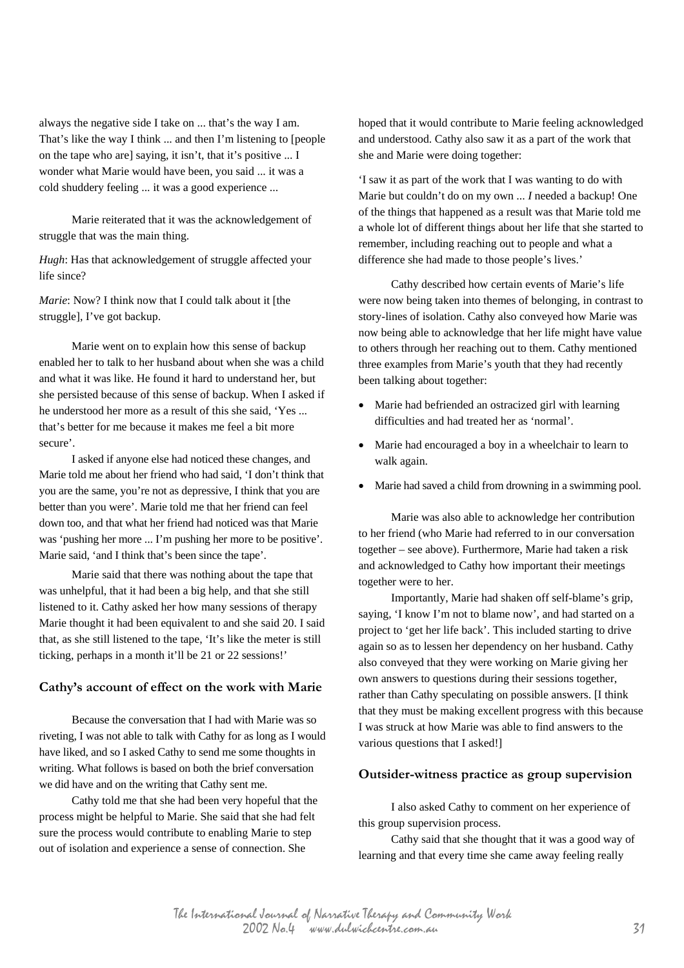always the negative side I take on ... that's the way I am. That's like the way I think ... and then I'm listening to [people on the tape who are] saying, it isn't, that it's positive ... I wonder what Marie would have been, you said ... it was a cold shuddery feeling ... it was a good experience ...

 Marie reiterated that it was the acknowledgement of struggle that was the main thing.

*Hugh*: Has that acknowledgement of struggle affected your life since?

*Marie*: Now? I think now that I could talk about it [the struggle], I've got backup.

 Marie went on to explain how this sense of backup enabled her to talk to her husband about when she was a child and what it was like. He found it hard to understand her, but she persisted because of this sense of backup. When I asked if he understood her more as a result of this she said, 'Yes ... that's better for me because it makes me feel a bit more secure'.

 I asked if anyone else had noticed these changes, and Marie told me about her friend who had said, 'I don't think that you are the same, you're not as depressive, I think that you are better than you were'. Marie told me that her friend can feel down too, and that what her friend had noticed was that Marie was 'pushing her more ... I'm pushing her more to be positive'. Marie said, 'and I think that's been since the tape'.

 Marie said that there was nothing about the tape that was unhelpful, that it had been a big help, and that she still listened to it. Cathy asked her how many sessions of therapy Marie thought it had been equivalent to and she said 20. I said that, as she still listened to the tape, 'It's like the meter is still ticking, perhaps in a month it'll be 21 or 22 sessions!'

# **Cathy's account of effect on the work with Marie**

 Because the conversation that I had with Marie was so riveting, I was not able to talk with Cathy for as long as I would have liked, and so I asked Cathy to send me some thoughts in writing. What follows is based on both the brief conversation we did have and on the writing that Cathy sent me.

 Cathy told me that she had been very hopeful that the process might be helpful to Marie. She said that she had felt sure the process would contribute to enabling Marie to step out of isolation and experience a sense of connection. She

hoped that it would contribute to Marie feeling acknowledged and understood. Cathy also saw it as a part of the work that she and Marie were doing together:

'I saw it as part of the work that I was wanting to do with Marie but couldn't do on my own ... *I* needed a backup! One of the things that happened as a result was that Marie told me a whole lot of different things about her life that she started to remember, including reaching out to people and what a difference she had made to those people's lives.'

 Cathy described how certain events of Marie's life were now being taken into themes of belonging, in contrast to story-lines of isolation. Cathy also conveyed how Marie was now being able to acknowledge that her life might have value to others through her reaching out to them. Cathy mentioned three examples from Marie's youth that they had recently been talking about together:

- Marie had befriended an ostracized girl with learning difficulties and had treated her as 'normal'.
- Marie had encouraged a boy in a wheelchair to learn to walk again.
- Marie had saved a child from drowning in a swimming pool.

 Marie was also able to acknowledge her contribution to her friend (who Marie had referred to in our conversation together – see above). Furthermore, Marie had taken a risk and acknowledged to Cathy how important their meetings together were to her.

 Importantly, Marie had shaken off self-blame's grip, saying, 'I know I'm not to blame now', and had started on a project to 'get her life back'. This included starting to drive again so as to lessen her dependency on her husband. Cathy also conveyed that they were working on Marie giving her own answers to questions during their sessions together, rather than Cathy speculating on possible answers. [I think that they must be making excellent progress with this because I was struck at how Marie was able to find answers to the various questions that I asked!]

# **Outsider-witness practice as group supervision**

 I also asked Cathy to comment on her experience of this group supervision process.

Cathy said that she thought that it was a good way of learning and that every time she came away feeling really